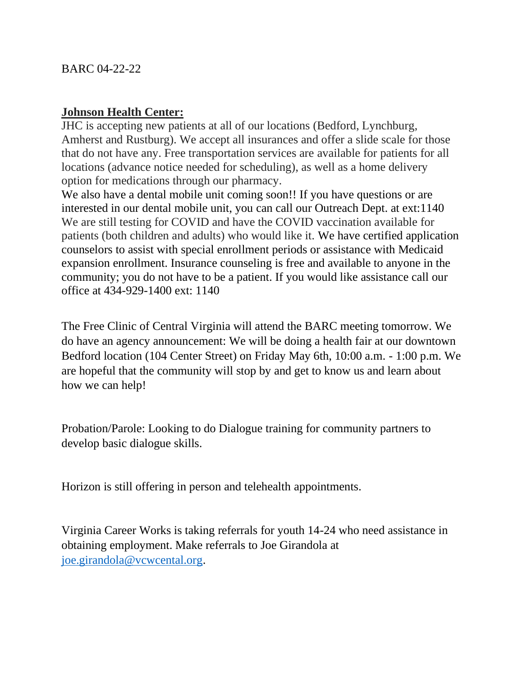## **Johnson Health Center:**

JHC is accepting new patients at all of our locations (Bedford, Lynchburg, Amherst and Rustburg). We accept all insurances and offer a slide scale for those that do not have any. Free transportation services are available for patients for all locations (advance notice needed for scheduling), as well as a home delivery option for medications through our pharmacy.

We also have a dental mobile unit coming soon!! If you have questions or are interested in our dental mobile unit, you can call our Outreach Dept. at ext:1140 We are still testing for COVID and have the COVID vaccination available for patients (both children and adults) who would like it. We have certified application counselors to assist with special enrollment periods or assistance with Medicaid expansion enrollment. Insurance counseling is free and available to anyone in the community; you do not have to be a patient. If you would like assistance call our office at 434-929-1400 ext: 1140

The Free Clinic of Central Virginia will attend the BARC meeting tomorrow. We do have an agency announcement: We will be doing a health fair at our downtown Bedford location (104 Center Street) on Friday May 6th, 10:00 a.m. - 1:00 p.m. We are hopeful that the community will stop by and get to know us and learn about how we can help!

Probation/Parole: Looking to do Dialogue training for community partners to develop basic dialogue skills.

Horizon is still offering in person and telehealth appointments.

Virginia Career Works is taking referrals for youth 14-24 who need assistance in obtaining employment. Make referrals to Joe Girandola at [joe.girandola@vcwcental.org.](about:blank)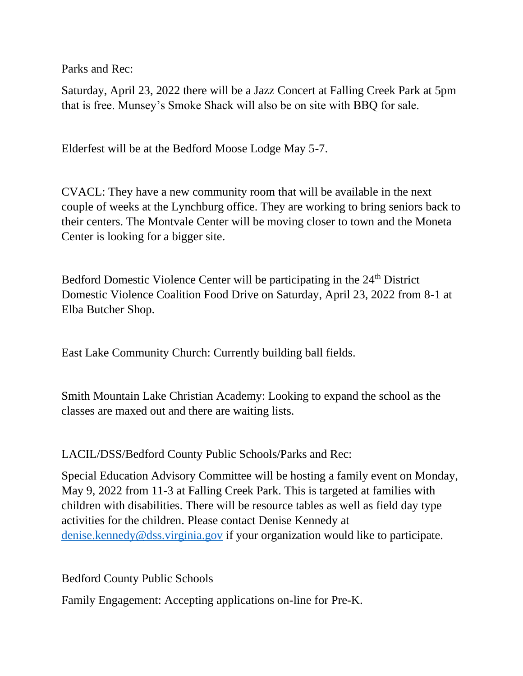Parks and Rec:

Saturday, April 23, 2022 there will be a Jazz Concert at Falling Creek Park at 5pm that is free. Munsey's Smoke Shack will also be on site with BBQ for sale.

Elderfest will be at the Bedford Moose Lodge May 5-7.

CVACL: They have a new community room that will be available in the next couple of weeks at the Lynchburg office. They are working to bring seniors back to their centers. The Montvale Center will be moving closer to town and the Moneta Center is looking for a bigger site.

Bedford Domestic Violence Center will be participating in the 24<sup>th</sup> District Domestic Violence Coalition Food Drive on Saturday, April 23, 2022 from 8-1 at Elba Butcher Shop.

East Lake Community Church: Currently building ball fields.

Smith Mountain Lake Christian Academy: Looking to expand the school as the classes are maxed out and there are waiting lists.

LACIL/DSS/Bedford County Public Schools/Parks and Rec:

Special Education Advisory Committee will be hosting a family event on Monday, May 9, 2022 from 11-3 at Falling Creek Park. This is targeted at families with children with disabilities. There will be resource tables as well as field day type activities for the children. Please contact Denise Kennedy at [denise.kennedy@dss.virginia.gov](about:blank) if your organization would like to participate.

Bedford County Public Schools

Family Engagement: Accepting applications on-line for Pre-K.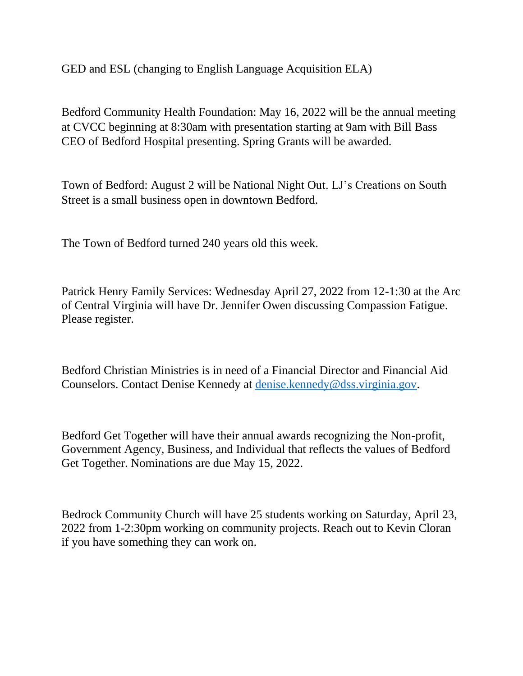GED and ESL (changing to English Language Acquisition ELA)

Bedford Community Health Foundation: May 16, 2022 will be the annual meeting at CVCC beginning at 8:30am with presentation starting at 9am with Bill Bass CEO of Bedford Hospital presenting. Spring Grants will be awarded.

Town of Bedford: August 2 will be National Night Out. LJ's Creations on South Street is a small business open in downtown Bedford.

The Town of Bedford turned 240 years old this week.

Patrick Henry Family Services: Wednesday April 27, 2022 from 12-1:30 at the Arc of Central Virginia will have Dr. Jennifer Owen discussing Compassion Fatigue. Please register.

Bedford Christian Ministries is in need of a Financial Director and Financial Aid Counselors. Contact Denise Kennedy at [denise.kennedy@dss.virginia.gov.](about:blank)

Bedford Get Together will have their annual awards recognizing the Non-profit, Government Agency, Business, and Individual that reflects the values of Bedford Get Together. Nominations are due May 15, 2022.

Bedrock Community Church will have 25 students working on Saturday, April 23, 2022 from 1-2:30pm working on community projects. Reach out to Kevin Cloran if you have something they can work on.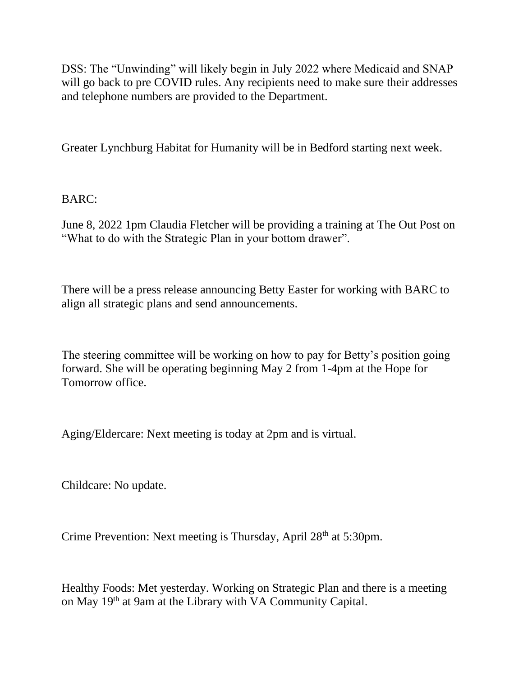DSS: The "Unwinding" will likely begin in July 2022 where Medicaid and SNAP will go back to pre COVID rules. Any recipients need to make sure their addresses and telephone numbers are provided to the Department.

Greater Lynchburg Habitat for Humanity will be in Bedford starting next week.

BARC:

June 8, 2022 1pm Claudia Fletcher will be providing a training at The Out Post on "What to do with the Strategic Plan in your bottom drawer".

There will be a press release announcing Betty Easter for working with BARC to align all strategic plans and send announcements.

The steering committee will be working on how to pay for Betty's position going forward. She will be operating beginning May 2 from 1-4pm at the Hope for Tomorrow office.

Aging/Eldercare: Next meeting is today at 2pm and is virtual.

Childcare: No update.

Crime Prevention: Next meeting is Thursday, April 28<sup>th</sup> at 5:30pm.

Healthy Foods: Met yesterday. Working on Strategic Plan and there is a meeting on May 19th at 9am at the Library with VA Community Capital.